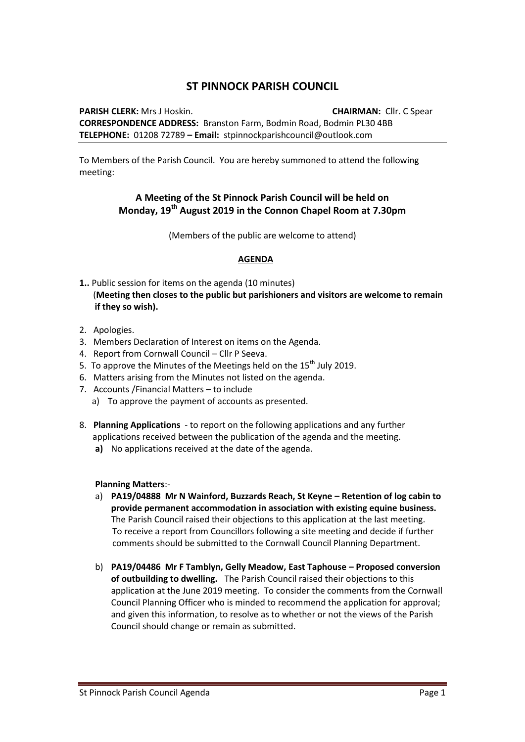## **ST PINNOCK PARISH COUNCIL**

**PARISH CLERK:** Mrs J Hoskin. **CHAIRMAN:** Cllr. C Spear **CORRESPONDENCE ADDRESS:** Branston Farm, Bodmin Road, Bodmin PL30 4BB **TELEPHONE:** 01208 72789 **– Email:** stpinnockparishcouncil@outlook.com

To Members of the Parish Council. You are hereby summoned to attend the following meeting:

## **A Meeting of the St Pinnock Parish Council will be held on Monday, 19th August 2019 in the Connon Chapel Room at 7.30pm**

(Members of the public are welcome to attend)

## **AGENDA**

- **1..** Public session for items on the agenda (10 minutes) (**Meeting then closes to the public but parishioners and visitors are welcome to remain if they so wish).**
- 2. Apologies.
- 3. Members Declaration of Interest on items on the Agenda.
- 4. Report from Cornwall Council Cllr P Seeva.
- 5. To approve the Minutes of the Meetings held on the  $15<sup>th</sup>$  July 2019.
- 6. Matters arising from the Minutes not listed on the agenda.
- 7. Accounts /Financial Matters to include
	- a) To approve the payment of accounts as presented.
- 8. **Planning Applications** to report on the following applications and any further applications received between the publication of the agenda and the meeting.
	- **a)** No applications received at the date of the agenda.

## **Planning Matters**:-

- a) **PA19/04888 Mr N Wainford, Buzzards Reach, St Keyne – Retention of log cabin to provide permanent accommodation in association with existing equine business.** The Parish Council raised their objections to this application at the last meeting. To receive a report from Councillors following a site meeting and decide if further comments should be submitted to the Cornwall Council Planning Department.
- b) **PA19/04486 Mr F Tamblyn, Gelly Meadow, East Taphouse – Proposed conversion of outbuilding to dwelling.** The Parish Council raised their objections to this application at the June 2019 meeting. To consider the comments from the Cornwall Council Planning Officer who is minded to recommend the application for approval; and given this information, to resolve as to whether or not the views of the Parish Council should change or remain as submitted.